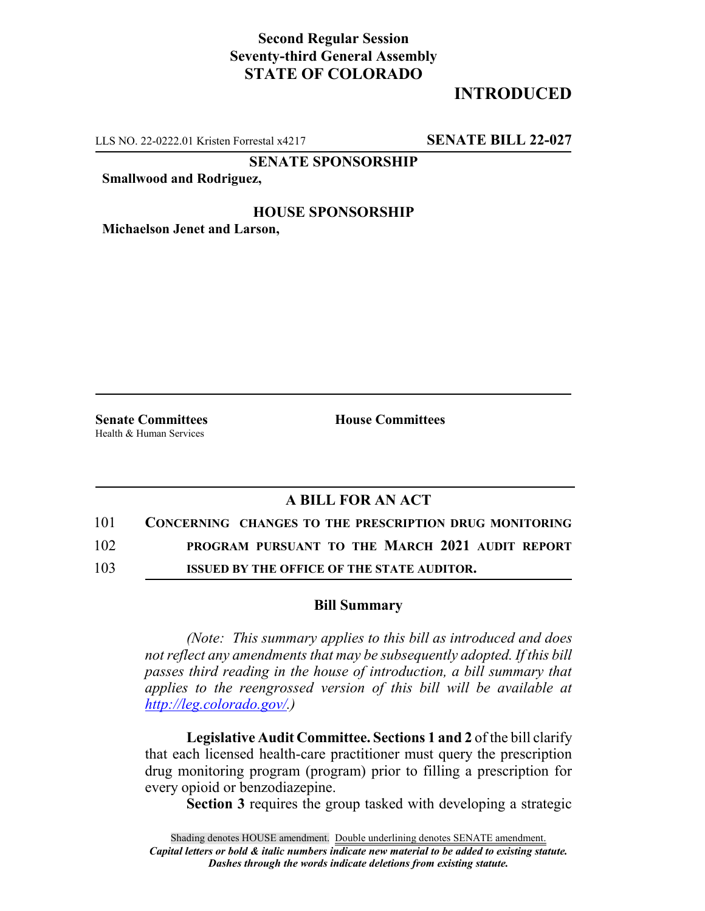## **Second Regular Session Seventy-third General Assembly STATE OF COLORADO**

# **INTRODUCED**

LLS NO. 22-0222.01 Kristen Forrestal x4217 **SENATE BILL 22-027**

**SENATE SPONSORSHIP**

**Smallwood and Rodriguez,**

#### **HOUSE SPONSORSHIP**

**Michaelson Jenet and Larson,**

Health & Human Services

**Senate Committees House Committees** 

### **A BILL FOR AN ACT**

101 **CONCERNING CHANGES TO THE PRESCRIPTION DRUG MONITORING**

102 **PROGRAM PURSUANT TO THE MARCH 2021 AUDIT REPORT**

103 **ISSUED BY THE OFFICE OF THE STATE AUDITOR.**

### **Bill Summary**

*(Note: This summary applies to this bill as introduced and does not reflect any amendments that may be subsequently adopted. If this bill passes third reading in the house of introduction, a bill summary that applies to the reengrossed version of this bill will be available at http://leg.colorado.gov/.)*

**Legislative Audit Committee. Sections 1 and 2** of the bill clarify that each licensed health-care practitioner must query the prescription drug monitoring program (program) prior to filling a prescription for every opioid or benzodiazepine.

**Section 3** requires the group tasked with developing a strategic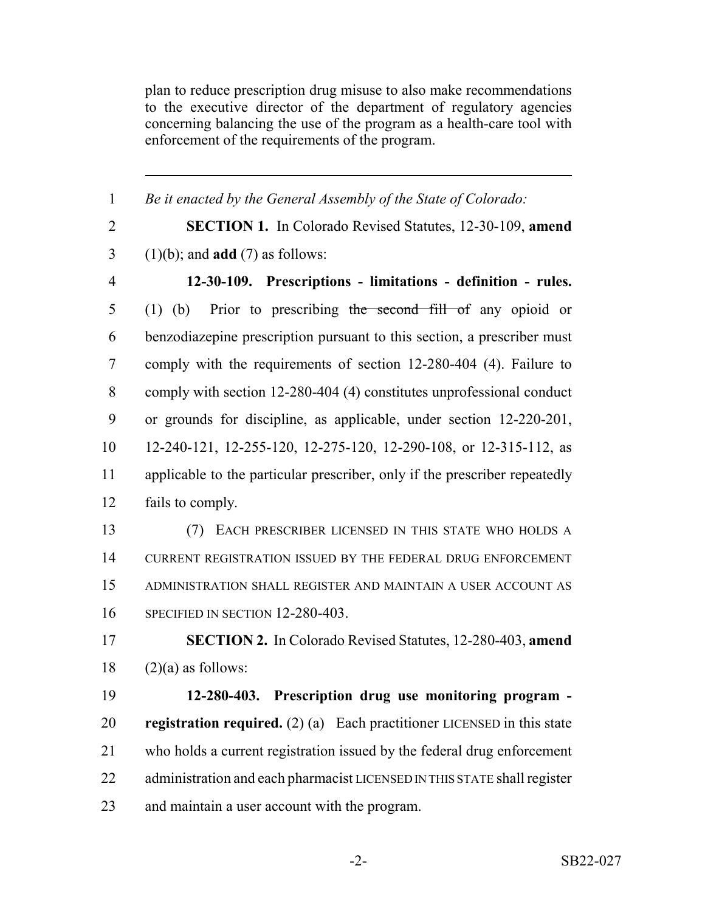plan to reduce prescription drug misuse to also make recommendations to the executive director of the department of regulatory agencies concerning balancing the use of the program as a health-care tool with enforcement of the requirements of the program.

 *Be it enacted by the General Assembly of the State of Colorado:* **SECTION 1.** In Colorado Revised Statutes, 12-30-109, **amend** (1)(b); and **add** (7) as follows: **12-30-109. Prescriptions - limitations - definition - rules.** (1) (b) Prior to prescribing the second fill of any opioid or benzodiazepine prescription pursuant to this section, a prescriber must comply with the requirements of section 12-280-404 (4). Failure to comply with section 12-280-404 (4) constitutes unprofessional conduct or grounds for discipline, as applicable, under section 12-220-201, 12-240-121, 12-255-120, 12-275-120, 12-290-108, or 12-315-112, as applicable to the particular prescriber, only if the prescriber repeatedly fails to comply. (7) EACH PRESCRIBER LICENSED IN THIS STATE WHO HOLDS A CURRENT REGISTRATION ISSUED BY THE FEDERAL DRUG ENFORCEMENT ADMINISTRATION SHALL REGISTER AND MAINTAIN A USER ACCOUNT AS SPECIFIED IN SECTION 12-280-403. **SECTION 2.** In Colorado Revised Statutes, 12-280-403, **amend** (2)(a) as follows: **12-280-403. Prescription drug use monitoring program - registration required.** (2) (a) Each practitioner LICENSED in this state who holds a current registration issued by the federal drug enforcement 22 administration and each pharmacist LICENSED IN THIS STATE shall register

and maintain a user account with the program.